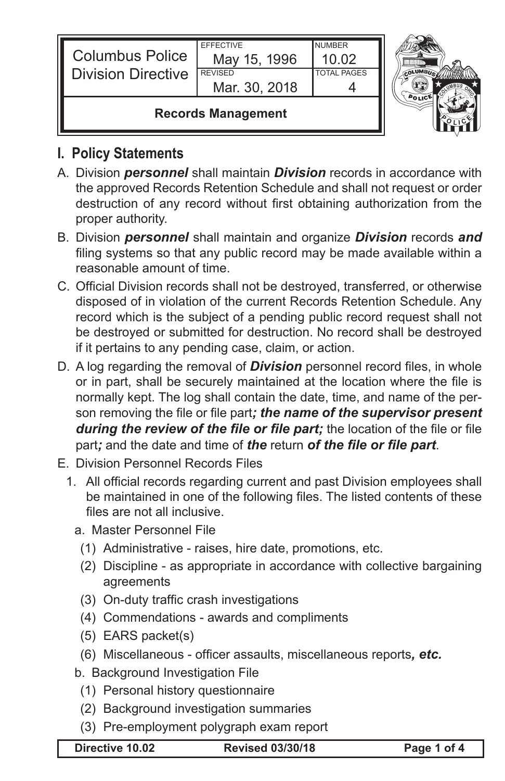| <b>Columbus Police</b><br><b>Division Directive</b> | <b>EFFECTIVE</b><br>May 15, 1996<br><b>REVISED</b><br>Mar. 30, 2018 | <b>NUMBER</b><br>10.02<br><b>TOTAL PAGES</b> |  |
|-----------------------------------------------------|---------------------------------------------------------------------|----------------------------------------------|--|
| <b>Records Management</b>                           |                                                                     |                                              |  |



## **I. Policy Statements**

- A. Division *personnel* shall maintain *Division* records in accordance with the approved Records Retention Schedule and shall not request or order destruction of any record without first obtaining authorization from the proper authority.
- B. Division *personnel* shall maintain and organize *Division* records *and*  filing systems so that any public record may be made available within a reasonable amount of time.
- C. Official Division records shall not be destroyed, transferred, or otherwise disposed of in violation of the current Records Retention Schedule. Any record which is the subject of a pending public record request shall not be destroyed or submitted for destruction. No record shall be destroyed if it pertains to any pending case, claim, or action.
- D. A log regarding the removal of *Division* personnel record files, in whole or in part, shall be securely maintained at the location where the file is normally kept. The log shall contain the date, time, and name of the person removing the file or file part*; the name of the supervisor present during the review of the file or file part;* the location of the file or file part*;* and the date and time of *the* return *of the file or file part*.
- E. Division Personnel Records Files
	- 1. All official records regarding current and past Division employees shall be maintained in one of the following files. The listed contents of these files are not all inclusive.
		- a. Master Personnel File
			- (1) Administrative raises, hire date, promotions, etc.
			- (2) Discipline as appropriate in accordance with collective bargaining agreements
			- (3) On-duty traffic crash investigations
			- (4) Commendations awards and compliments
			- (5) EARS packet(s)
			- (6) Miscellaneous officer assaults, miscellaneous reports*, etc.*
		- b. Background Investigation File
			- (1) Personal history questionnaire
		- (2) Background investigation summaries
		- (3) Pre-employment polygraph exam report

**Directive 10.02 Revised 03/30/18 Page 1 of 4**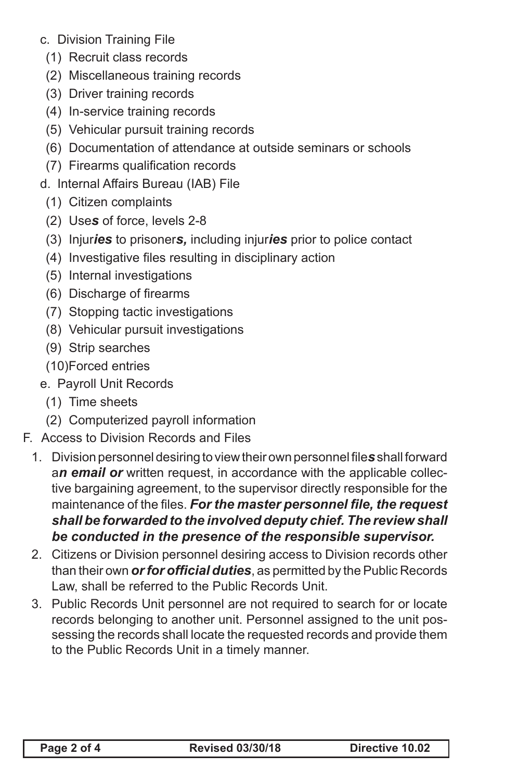- c. Division Training File
	- (1) Recruit class records
	- (2) Miscellaneous training records
	- (3) Driver training records
	- (4) In-service training records
	- (5) Vehicular pursuit training records
	- (6) Documentation of attendance at outside seminars or schools
	- (7) Firearms qualification records
- d. Internal Affairs Bureau (IAB) File
	- (1) Citizen complaints
	- (2) Use*s* of force, levels 2-8
	- (3) Injur*ies* to prisoner*s,* including injur*ies* prior to police contact
	- (4) Investigative files resulting in disciplinary action
	- (5) Internal investigations
	- (6) Discharge of firearms
- (7) Stopping tactic investigations
- (8) Vehicular pursuit investigations
- (9) Strip searches
- (10)Forced entries
- e. Payroll Unit Records
	- (1) Time sheets
	- (2) Computerized payroll information
- F. Access to Division Records and Files
	- 1. Division personnel desiring to view their own personnel file*s* shall forward a*n email or* written request, in accordance with the applicable collective bargaining agreement, to the supervisor directly responsible for the maintenance of the files. *For the master personnel file, the request shall be forwarded to the involved deputy chief. The review shall be conducted in the presence of the responsible supervisor.*
	- 2. Citizens or Division personnel desiring access to Division records other than their own *or for official duties*, as permitted by the Public Records Law, shall be referred to the Public Records Unit.
	- 3. Public Records Unit personnel are not required to search for or locate records belonging to another unit. Personnel assigned to the unit possessing the records shall locate the requested records and provide them to the Public Records Unit in a timely manner.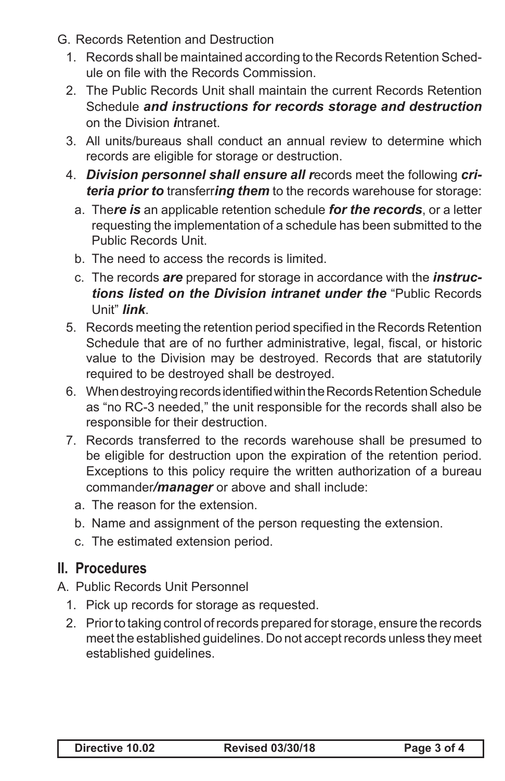- G. Records Retention and Destruction
	- 1. Records shall be maintained according to the Records Retention Schedule on file with the Records Commission.
	- 2. The Public Records Unit shall maintain the current Records Retention Schedule *and instructions for records storage and destruction* on the Division *i*ntranet.
	- 3. All units/bureaus shall conduct an annual review to determine which records are eligible for storage or destruction.
	- 4. *Division personnel shall ensure all r*ecords meet the following *criteria prior to* transferr*ing them* to the records warehouse for storage:
		- a. The*re is* an applicable retention schedule *for the records*, or a letter requesting the implementation of a schedule has been submitted to the Public Records Unit.
		- b. The need to access the records is limited.
		- c. The records *are* prepared for storage in accordance with the *instructions listed on the Division intranet under the* "Public Records Unit" *link*.
	- 5. Records meeting the retention period specified in the Records Retention Schedule that are of no further administrative, legal, fiscal, or historic value to the Division may be destroyed. Records that are statutorily required to be destroyed shall be destroyed.
	- 6. When destroying records identified within the Records Retention Schedule as "no RC-3 needed," the unit responsible for the records shall also be responsible for their destruction.
	- 7. Records transferred to the records warehouse shall be presumed to be eligible for destruction upon the expiration of the retention period. Exceptions to this policy require the written authorization of a bureau commander*/manager* or above and shall include:
		- a. The reason for the extension.
		- b. Name and assignment of the person requesting the extension.
		- c. The estimated extension period.

## **II. Procedures**

- A. Public Records Unit Personnel
	- 1. Pick up records for storage as requested.
	- 2. Prior to taking control of records prepared for storage, ensure the records meet the established guidelines. Do not accept records unless they meet established guidelines.